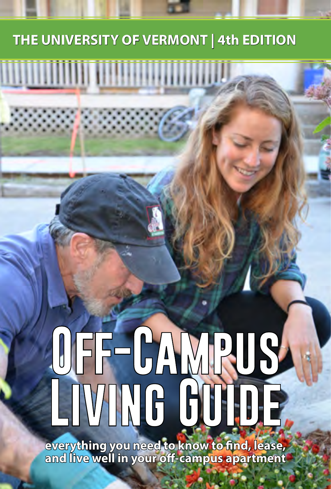# **THE UNIVERSITY OF VERMONT | 4th EDITION**

# UFF-CAMRUS **Living Guide**

**everything you need to know to find, lease, and live well in your off-campus apartment**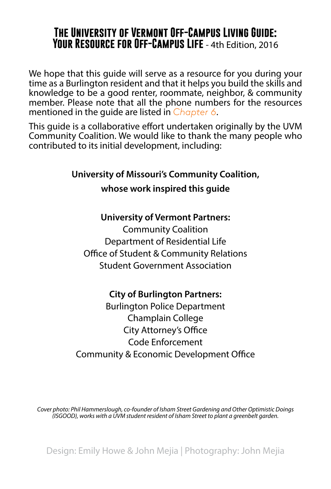# **The University of Vermont Off-Campus Living Guide: Your Resource for Off-Campus Life** - 4th Edition, 2016

We hope that this guide will serve as a resource for you during your time as a Burlington resident and that it helps you build the skills and knowledge to be a good renter, roommate, neighbor, & community member. Please note that all the phone numbers for the resources mentioned in the guide are listed in *[Chapter 6](#page-17-0)*.

This quide is a collaborative effort undertaken originally by the UVM Community Coalition. We would like to thank the many people who contributed to its initial development, including:

**University of Missouri's Community Coalition,** 

**whose work inspired this guide**

#### **University of Vermont Partners:**

Community Coalition Department of Residential Life Office of Student & Community Relations Student Government Association

#### **City of Burlington Partners:**

Burlington Police Department Champlain College City Attorney's Office Code Enforcement Community & Economic Development Office

*Cover photo: Phil Hammerslough, co-founder of Isham Street Gardening and Other Optimistic Doings (ISGOOD), works with a UVM student resident of Isham Street to plant a greenbelt garden.*

Design: Emily Howe & John Mejia | Photography: John Mejia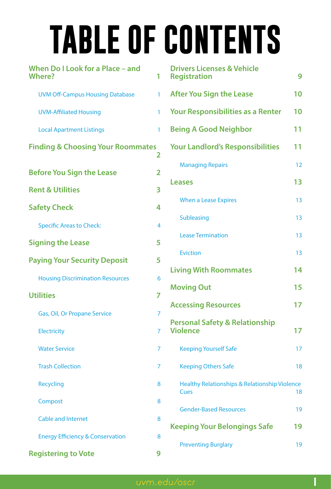# **TABLE OF CONTENTS**

| When Do I Look for a Place - and<br><b>Where?</b> | 1 |
|---------------------------------------------------|---|
| <b>UVM Off-Campus Housing Database</b>            | 1 |
| <b>UVM-Affiliated Housing</b>                     | 1 |
| <b>Local Apartment Listings</b>                   | 1 |
| <b>Finding &amp; Choosing Your Roommates</b>      | 2 |
| <b>Before You Sign the Lease</b>                  | 2 |
| <b>Rent &amp; Utilities</b>                       | 3 |
| <b>Safety Check</b>                               | 4 |
| <b>Specific Areas to Check:</b>                   | 4 |
| <b>Signing the Lease</b>                          | 5 |
| <b>Paying Your Security Deposit</b>               | 5 |
| <b>Housing Discrimination Resources</b>           | 6 |
| <b>Utilities</b>                                  | 7 |
| Gas, Oil, Or Propane Service                      | 7 |
| <b>Electricity</b>                                | 7 |
| <b>Water Service</b>                              | 7 |
| <b>Trash Collection</b>                           | 7 |
| <b>Recycling</b>                                  | 8 |
| Compost                                           | 8 |
| <b>Cable and Internet</b>                         | 8 |
| <b>Energy Efficiency &amp; Conservation</b>       | 8 |
| <b>Registering to Vote</b>                        | 9 |

| <b>Drivers Licenses &amp; Vehicle</b><br><b>Registration</b>            | 9  |
|-------------------------------------------------------------------------|----|
| <b>After You Sign the Lease</b>                                         | 10 |
| <b>Your Responsibilities as a Renter</b>                                | 10 |
| <b>Being A Good Neighbor</b>                                            | 11 |
| <b>Your Landlord's Responsibilities</b>                                 | 11 |
| <b>Managing Repairs</b>                                                 | 12 |
| Leases                                                                  | 13 |
| <b>When a Lease Expires</b>                                             | 13 |
| <b>Subleasing</b>                                                       | 13 |
| <b>Lease Termination</b>                                                | 13 |
| <b>Eviction</b>                                                         | 13 |
| <b>Living With Roommates</b>                                            | 14 |
| <b>Moving Out</b>                                                       | 15 |
| <b>Accessing Resources</b>                                              | 17 |
| <b>Personal Safety &amp; Relationship</b><br><b>Violence</b>            | 17 |
| <b>Keeping Yourself Safe</b>                                            | 17 |
| <b>Keeping Others Safe</b>                                              | 18 |
| <b>Healthy Relationships &amp; Relationship Violence</b><br><b>Cues</b> | 18 |
| <b>Gender-Based Resources</b>                                           | 19 |
| Keeping Your Belongings Safe                                            | 19 |
| <b>Preventing Burglary</b>                                              | 19 |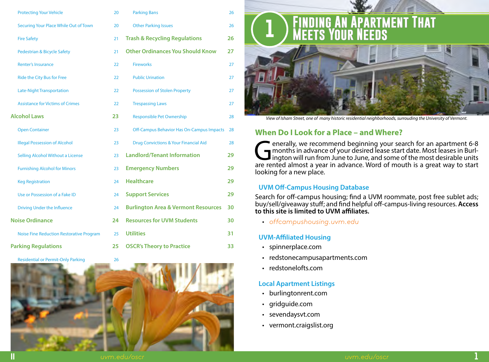<span id="page-3-0"></span>

| <b>Protecting Your Vehicle</b>                  | 20 | <b>Parking Bans</b>                              | 26 |
|-------------------------------------------------|----|--------------------------------------------------|----|
| Securing Your Place While Out of Town           | 20 | <b>Other Parking Issues</b>                      | 26 |
| <b>Fire Safety</b>                              | 21 | <b>Trash &amp; Recycling Regulations</b>         | 26 |
| Pedestrian & Bicycle Safety                     | 21 | <b>Other Ordinances You Should Know</b>          | 27 |
| <b>Renter's Insurance</b>                       | 22 | <b>Fireworks</b>                                 | 27 |
| <b>Ride the City Bus for Free</b>               | 22 | <b>Public Urination</b>                          | 27 |
| <b>Late-Night Transportation</b>                | 22 | <b>Possession of Stolen Property</b>             | 27 |
| <b>Assistance for Victims of Crimes</b>         | 22 | <b>Trespassing Laws</b>                          | 27 |
| <b>Alcohol Laws</b>                             | 23 | <b>Responsible Pet Ownership</b>                 | 28 |
| <b>Open Container</b>                           | 23 | Off-Campus Behavior Has On-Campus Impacts        | 28 |
| <b>Illegal Possession of Alcohol</b>            | 23 | <b>Drug Convictions &amp; Your Financial Aid</b> | 28 |
| <b>Selling Alcohol Without a License</b>        | 23 | <b>Landlord/Tenant Information</b>               | 29 |
| <b>Furnishing Alcohol for Minors</b>            | 23 | <b>Emergency Numbers</b>                         | 29 |
| <b>Keg Registration</b>                         | 24 | <b>Healthcare</b>                                | 29 |
| Use or Possession of a Fake ID                  | 24 | <b>Support Services</b>                          | 29 |
| <b>Driving Under the Influence</b>              | 24 | <b>Burlington Area &amp; Vermont Resources</b>   | 30 |
| <b>Noise Ordinance</b>                          | 24 | <b>Resources for UVM Students</b>                | 30 |
| <b>Noise Fine Reduction Restorative Program</b> | 25 | <b>Utilities</b>                                 | 31 |
| <b>Parking Regulations</b>                      | 25 | <b>OSCR's Theory to Practice</b>                 | 33 |

[Residential or Permit-Only Parking](#page-16-0) 26



# **1 Finding An Apartment That Meets Your Needs**



*View of Isham Street, one of many historic residential neighborhoods, surrouding the University of Vermont.*

# **When Do I Look for a Place – and Where?**

**Generally, we recommend beginning your search for an apartment 6-8**<br>months in advance of your desired lease start date. Most leases in Burlington will run from June to June, and some of the most desirable units<br>are rented months in advance of your desired lease start date. Most leases in Burlington will run from June to June, and some of the most desirable units are rented almost a year in advance. Word of mouth is a great way to start looking for a new place.

# **UVM Off-Campus Housing Database**

Search for off-campus housing; find a UVM roommate, post free sublet ads; buy/sell/giveaway stuff; and find helpful off-campus-living resources. **Access to this site is limited to UVM affiliates.**

• *[offcampushousing.uvm.edu](http://offcampushousing.uvm.edu)*

# **UVM-Affiliated Housing**

- [spinnerplace.com](http://www.spinnerplace.com/spinner-place-winooski-vt)
- [redstonecampusapartments.com](http://www.redstoneaptsvt.com/)
- [redstonelofts.com](http://redstonelofts.com/)

# **Local Apartment Listings**

- burlingtonrent.com
- gridguide.com
- sevendaysvt.com
- vermont.craigslist.org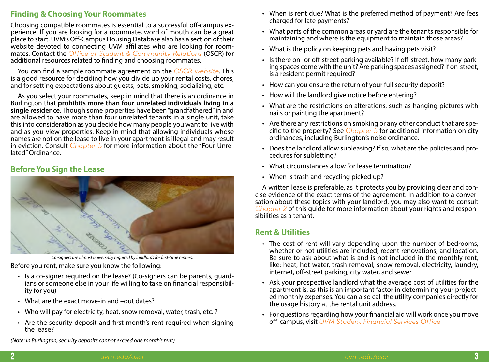# <span id="page-4-0"></span>**Finding & Choosing Your Roommates**

Choosing compatible roommates is essential to a successful off-campus experience. If you are looking for a roommate, word of mouth can be a great place to start. UVM's Off-Campus Housing Database also has a section of their website devoted to connecting UVM affiliates who are looking for roommates. Contact the *[Office of Student & Community Relations](http://www.uvm.edu/oscr)* (OSCR) for additional resources related to finding and choosing roommates.

You can find a sample roommate agreement on the *[OSCR website](http://uvm.edu/oscr)*. This is a good resource for deciding how you divide up your rental costs, chores, and for setting expectations about guests, pets, smoking, socializing; etc.

As you select your roommates, keep in mind that there is an ordinance in Burlington that **prohibits more than four unrelated individuals living in a single residence**. Though some properties have been "grandfathered" in and are allowed to have more than four unrelated tenants in a single unit, take this into consideration as you decide how many people you want to live with and as you view properties. Keep in mind that allowing individuals whose names are not on the lease to live in your apartment is illegal and may result in eviction. Consult *[Chapter 5](#page-14-1)* for more information about the "Four-Unrelated" Ordinance.

# **Before You Sign the Lease**



*Co-signers are almost universally required by landlords for first-time renters.*

Before you rent, make sure you know the following:

- Is a co-signer required on the lease? (Co-signers can be parents, guard- ians or someone else in your life willing to take on financial responsibil- ity for you)
- What are the exact move-in and –out dates?
- Who will pay for electricity, heat, snow removal, water, trash, etc. ?
- Are the security deposit and first month's rent required when signing the lease?
- When is rent due? What is the preferred method of payment? Are fees charged for late payments?
- What parts of the common areas or yard are the tenants responsible for maintaining and where is the equipment to maintain those areas?
- What is the policy on keeping pets and having pets visit?
- Is there on- or off-street parking available? If off-street, how many parking spaces come with the unit? Are parking spaces assigned? If on-street, is a resident permit required?
- How can you ensure the return of your full security deposit?
- How will the landlord give notice before entering?
- What are the restrictions on alterations, such as hanging pictures with nails or painting the apartment?
- Are there any restrictions on smoking or any other conduct that are specific to the property? See *[Chapter 5](#page-14-1)* for additional information on city ordinances, including Burlington's noise ordinance.
- Does the landlord allow subleasing? If so, what are the policies and procedures for subletting?
- What circumstances allow for lease termination?
- When is trash and recycling picked up?

A written lease is preferable, as it protects you by providing clear and concise evidence of the exact terms of the agreement. In addition to a conversation about these topics with your landlord, you may also want to consult *[Chapter 2](#page-6-1)* of this guide for more information about your rights and responsibilities as a tenant.

# **Rent & Utilities**

- The cost of rent will vary depending upon the number of bedrooms, whether or not utilities are included, recent renovations, and location. Be sure to ask about what is and is not included in the monthly rent, like: heat, hot water, trash removal, snow removal, electricity, laundry, internet, off-street parking, city water, and sewer.
- Ask your prospective landlord what the average cost of utilities for the ed monthly expenses. You can also call the utility companies directly for the usage history at the rental unit address.
- For questions regarding how your financial aid will work once you move off-campus, visit *[UVM Student Financial Services Office](http://www.uvm.edu/sfs)*

*(Note: In Burlington, security deposits cannot exceed one month's rent)*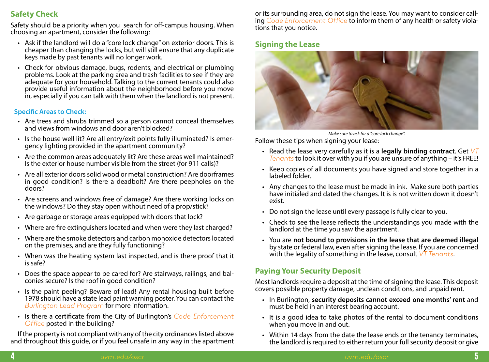# <span id="page-5-0"></span>**Safety Check**

Safety should be a priority when you search for off-campus housing. When choosing an apartment, consider the following:

- Ask if the landlord will do a "core lock change" on exterior doors. This is cheaper than changing the locks, but will still ensure that any duplicate keys made by past tenants will no longer work.
- Check for obvious damage, bugs, rodents, and electrical or plumbing problems. Look at the parking area and trash facilities to see if they are adequate for your household. Talking to the current tenants could also provide useful information about the neighborhood before you move in, especially if you can talk with them when the landlord is not present.

# **Specific Areas to Check:**

- Are trees and shrubs trimmed so a person cannot conceal themselves and views from windows and door aren't blocked?
- Is the house well lit? Are all entry/exit points fully illuminated? Is emergency lighting provided in the apartment community?
- Are the common areas adequately lit? Are these areas well maintained? Is the exterior house number visible from the street (for 911 calls)?
- Are all exterior doors solid wood or metal construction? Are doorframes in good condition? Is there a deadbolt? Are there peepholes on the doors?
- Are screens and windows free of damage? Are there working locks on the windows? Do they stay open without need of a prop/stick?
- Are garbage or storage areas equipped with doors that lock?
- Where are fire extinguishers located and when were they last charged?
- Where are the smoke detectors and carbon monoxide detectors located on the premises, and are they fully functioning?
- When was the heating system last inspected, and is there proof that it is safe?
- Does the space appear to be cared for? Are stairways, railings, and bal- conies secure? Is the roof in good condition?
- Is the paint peeling? Beware of lead! Any rental housing built before 1978 should have a state lead paint warning poster. You can contact the *[Burlington Lead Program](http://www.burlingtonleadprogram.org/)* for more information.
- Is there a certificate from the City of Burlington's *[Code Enforcement](https://www.burlingtonvt.gov/CodeEnforcement) [Office](https://www.burlingtonvt.gov/CodeEnforcement)* posted in the building?

If the property is not compliant with any of the city ordinances listed above and throughout this guide, or if you feel unsafe in any way in the apartment or its surrounding area, do not sign the lease. You may want to consider calling *[Code Enforcement Office](https://www.burlingtonvt.gov/CodeEnforcement)* to inform them of any health or safety violations that you notice.

# **Signing the Lease**



*Make sure to ask for a "core lock change".*

Follow these tips when signing your lease:

- Read the lease very carefully as it is a **legally binding contract**. Get *[VT](https://www.cvoeo.org/?fuseaction=dep_intro&dept_id=15) [Tenants](https://www.cvoeo.org/?fuseaction=dep_intro&dept_id=15)* to look it over with you if you are unsure of anything – it's FREE!
- Keep copies of all documents you have signed and store together in a labeled folder.
- Any changes to the lease must be made in ink. Make sure both parties have initialed and dated the changes. It is is not written down it doesn't exist.
- Do not sign the lease until every passage is fully clear to you.
- Check to see the lease reflects the understandings you made with the landlord at the time you saw the apartment.
- You are **not bound to provisions in the lease that are deemed illegal** by state or federal law, even after signing the lease. If you are concerned with the legality of something in the lease, consult *[VT Tenants](https://www.cvoeo.org/?fuseaction=dep_intro&dept_id=15)*.

# **Paying Your Security Deposit**

Most landlords require a deposit at the time of signing the lease. This deposit covers possible property damage, unclean conditions, and unpaid rent.

- In Burlington, **security deposits cannot exceed one months' rent** and must be held in an interest bearing account.
- It is a good idea to take photos of the rental to document conditions when you move in and out.
- Within 14 days from the date the lease ends or the tenancy terminates, the landlord is required to either return your full security deposit or give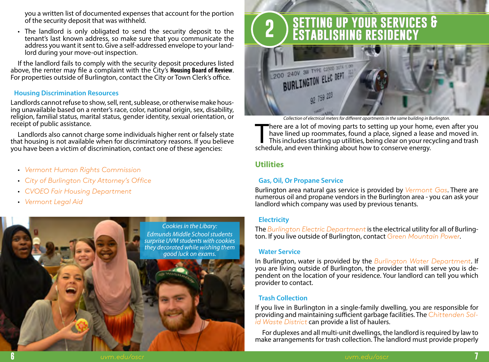<span id="page-6-0"></span>you a written list of documented expenses that account for the portion of the security deposit that was withheld.

• The landlord is only obligated to send the security deposit to the tenant's last known address, so make sure that you communicate the address you want it sent to. Give a self-addressed envelope to your landlord during your move-out inspection.

If the landlord fails to comply with the security deposit procedures listed above, the renter may file a complaint with the City's **Housing Board of Review**. For properties outside of Burlington, contact the City or Town Clerk's office.

#### **Housing Discrimination Resources**

Landlords cannot refuse to show, sell, rent, sublease, or otherwise make housing unavailable based on a renter's race, color, national origin, sex, disability, religion, familial status, marital status, gender identity, sexual orientation, or receipt of public assistance.

Landlords also cannot charge some individuals higher rent or falsely state that housing is not available when for discriminatory reasons. If you believe you have been a victim of discrimination, contact one of these agencies:

- *[Vermont Human Rights Commission](http://hrc.vermont.gov/)*
- *[City of Burlington City Attorney's Office](https://www.burlingtonvt.gov/Attorney)*
- *[CVOEO Fair Housing Department](https://www.cvoeo.org/?fuseaction=dep_intro&dept_id=1)*
- *[Vermont Legal Aid](http://www.vtlegalaid.org/)*



# <span id="page-6-1"></span>**2 setting up your services & Establishing residency**



*Collection of electrical meters for different apartments in the same building in Burlington.* 

There are a lot of moving parts to setting up your home<br>have lined up roommates, found a place, signed a leas<br>This includes starting up utilities, being clear on your rec<br>schedule, and even thinking about how to conserve e here are a lot of moving parts to setting up your home, even after you have lined up roommates, found a place, signed a lease and moved in. This includes starting up utilities, being clear on your recycling and trash

# **Utilities**

#### **Gas, Oil, Or Propane Service**

Burlington area natural gas service is provided by *[Vermont Gas](http://www.vermontgas.com/)*. There are numerous oil and propane vendors in the Burlington area - you can ask your landlord which company was used by previous tenants.

#### **Electricity**

The *[Burlington Electric Department](https://www.burlingtonelectric.com/)* is the electrical utility for all of Burlington. If you live outside of Burlington, contact *[Green Mountain Power](http://www.greenmountainpower.com/)*.

#### **Water Service**

In Burlington, water is provided by the *[Burlington Water Department](https://www.burlingtonvt.gov/DPW/Water)*. If you are living outside of Burlington, the provider that will serve you is de- pendent on the location of your residence. Your landlord can tell you which provider to contact.

#### **Trash Collection**

If you live in Burlington in a single-family dwelling, you are responsible for providing and maintaining sufficient garbage facilities. The *[Chittenden Sol](http://www.cswd.net)[id Waste District](http://www.cswd.net)* can provide a list of haulers.

For duplexes and all multi-unit dwellings, the landlord is required by law to make arrangements for trash collection. The landlord must provide properly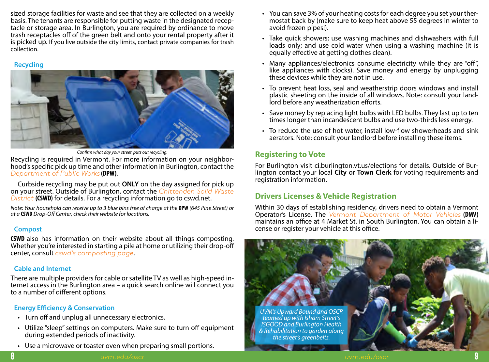<span id="page-7-0"></span>sized storage facilities for waste and see that they are collected on a weekly basis. The tenants are responsible for putting waste in the designated receptacle or storage area. In Burlington, you are required by ordinance to move trash receptacles off of the green belt and onto your rental property after it is picked up. If you live outside the city limits, contact private companies for trash collection.

#### **Recycling**

![](_page_7_Picture_2.jpeg)

*Confirm what day your street puts out recycling.*

Recycling is required in Vermont. For more information on your neighborhood's specific pick up time and other information in Burlington, contact the *[Department of Public Works](https://www.burlingtonvt.gov/DPW)* **(DPW)**.

Curbside recycling may be put out **ONLY** on the day assigned for pick up on your street. Outside of Burlington, contact the *[Chittenden Solid Waste](http://www.cswd.net) [District](http://www.cswd.net)* **(CSWD)** for details. For a recycling information go to cswd.net.

*Note: Your household can receive up to 3 blue bins free of charge at the* **DPW** *(645 Pine Street) or at a* **CSWD** *Drop-Off Center, check their website for locations.*

# **Compost**

**CSWD** also has information on their website about all things composting. Whether you're interested in starting a pile at home or utilizing their drop-off center, consult *[cswd's composting page](https://cswd.net/composting/backyard-composting/)*.

# **Cable and Internet**

There are multiple providers for cable or satellite TV as well as high-speed internet access in the Burlington area – a quick search online will connect you to a number of different options.

# **Energy Efficiency & Conservation**

- Turn off and unplug all unnecessary electronics.
- Utilize "sleep" settings on computers. Make sure to turn off equipment during extended periods of inactivity.
- Use a microwave or toaster oven when preparing small portions.
- You can save 3% of your heating costs for each degree you set your thermostat back by (make sure to keep heat above 55 degrees in winter to avoid frozen pipes!).
- Take quick showers; use washing machines and dishwashers with full loads only; and use cold water when using a washing machine (it is equally effective at getting clothes clean).
- Many appliances/electronics consume electricity while they are "off", like appliances with clocks). Save money and energy by unplugging these devices while they are not in use.
- To prevent heat loss, seal and weatherstrip doors windows and install plastic sheeting on the inside of all windows. Note: consult your landlord before any weatherization efforts.
- Save money by replacing light bulbs with LED bulbs. They last up to ten times longer than incandescent bulbs and use two-thirds less energy.
- To reduce the use of hot water, install low-flow showerheads and sink aerators. Note: consult your landlord before installing these items.

# **Registering to Vote**

For Burlington visit ci.burlington.vt.us/elections for details. Outside of Bur- lington contact your local **City** or **Town Clerk** for voting requirements and registration information.

# **Drivers Licenses & Vehicle Registration**

Within 30 days of establishing residency, drivers need to obtain a Vermont Operator's License. The *[Vermont Department of Motor Vehicles](http://dmv.vermont.gov/)* **(DMV)** maintains an office at 4 Market St. in South Burlington. You can obtain a li- cense or register your vehicle at this office.

![](_page_7_Picture_25.jpeg)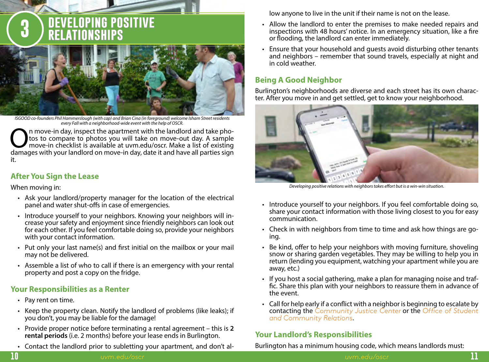<span id="page-8-0"></span>![](_page_8_Picture_0.jpeg)

*ISGOOD co-founders Phil Hammerslough (with cap) and Brian Cina (in foreground) welcome Isham Street residents every Fall with a neighborhood-wide event with the help of OSCR.*

On move-in day, inspect the apartment with the landlord and take pho-<br>tos to compare to photos you will take on move-out day. A sample<br>move-in checklist is available at uvm.edu/oscr. Make a list of existing<br>damages with yo tos to compare to photos you will take on move-out day. A sample damages with your landlord on move-in day, date it and have all parties sign it.

# **After You Sign the Lease**

When moving in:

- Ask your landlord/property manager for the location of the electrical panel and water shut-offs in case of emergencies.
- Introduce yourself to your neighbors. Knowing your neighbors will increase your safety and enjoyment since friendly neighbors can look out for each other. If you feel comfortable doing so, provide your neighbors with your contact information.
- Put only your last name(s) and first initial on the mailbox or your mail may not be delivered.
- Assemble a list of who to call if there is an emergency with your rental property and post a copy on the fridge.

# **Your Responsibilities as a Renter**

- Pay rent on time.
- Keep the property clean. Notify the landlord of problems (like leaks); if you don't, you may be liable for the damage!
- Provide proper notice before terminating a rental agreement this is **2 rental periods** (i.e. 2 months) before your lease ends in Burlington.
- Contact the landlord prior to subletting your apartment, and don't al-

low anyone to live in the unit if their name is not on the lease.

- Allow the landlord to enter the premises to make needed repairs and inspections with 48 hours' notice. In an emergency situation, like a fire or flooding, the landlord can enter immediately.
- Ensure that your household and guests avoid disturbing other tenants and neighbors – remember that sound travels, especially at night and in cold weather.

# **Being A Good Neighbor**

Burlington's neighborhoods are diverse and each street has its own character. After you move in and get settled, get to know your neighborhood.

![](_page_8_Picture_19.jpeg)

*Developing positive relations with neighbors takes effort but is a win-win situation.*

- Introduce yourself to your neighbors. If you feel comfortable doing so, share your contact information with those living closest to you for easy communication.
- Check in with neighbors from time to time and ask how things are go- ing.
- Be kind, offer to help your neighbors with moving furniture, shoveling snow or sharing garden vegetables. They may be willing to help you in return (lending you equipment, watching your apartment while you are away, etc.)
- If you host a social gathering, make a plan for managing noise and traffic. Share this plan with your neighbors to reassure them in advance of the event.
- Call for help early if a conflict with a neighbor is beginning to escalate by contacting the *[Community Justice Center](https://www.burlingtonvt.gov/CJC/)* or the *[Office of Student](mailto:oscr%40uvm.edu?subject=Referral%20from%20OCLG%20re%3A%20Neighbor%20Issue) [and Community Relations](mailto:oscr%40uvm.edu?subject=Referral%20from%20OCLG%20re%3A%20Neighbor%20Issue)*.

# **Your Landlord's Responsibilities**

Burlington has a minimum housing code, which means landlords must: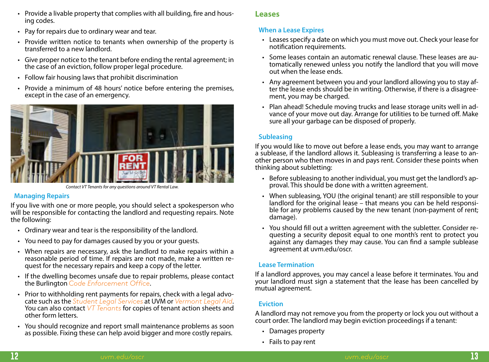- <span id="page-9-0"></span>• Provide a livable property that complies with all building, fire and housing codes.
- Pay for repairs due to ordinary wear and tear.
- Provide written notice to tenants when ownership of the property is transferred to a new landlord.
- Give proper notice to the tenant before ending the rental agreement; in the case of an eviction, follow proper legal procedure.
- Follow fair housing laws that prohibit discrimination
- Provide a minimum of 48 hours' notice before entering the premises, except in the case of an emergency.

![](_page_9_Picture_8.jpeg)

*Contact VT Tenants for any questions around VT Rental Law.*

# **Managing Repairs**

If you live with one or more people, you should select a spokesperson who will be responsible for contacting the landlord and requesting repairs. Note the following:

- Ordinary wear and tear is the responsibility of the landlord.
- You need to pay for damages caused by you or your guests.
- When repairs are necessary, ask the landlord to make repairs within a reasonable period of time. If repairs are not made, make a written re- quest for the necessary repairs and keep a copy of the letter.
- If the dwelling becomes unsafe due to repair problems, please contact the Burlington *[Code Enforcement Office](https://www.burlingtonvt.gov/CodeEnforcement)*.
- Prior to withholding rent payments for repairs, check with a legal advocate such as the *Student Legal Services* at UVM or *Vermont Legal Aid*[.](http://www.vtlegalaid.org/)<br>You can also co[ntact](https://thelynx.collegiatelink.net/organization/student-legal-services/about) *VT* Tengnts for copies of tenant action sheets and other form letters.
- You should recognize and report small maintenance problems as soon as possible. Fixing these can help avoid bigger and more costly repairs.

# **Leases**

# **When a Lease Expires**

- Leases specify a date on which you must move out. Check your lease for notification requirements.
- Some leases contain an automatic renewal clause. These leases are au- tomatically renewed unless you notify the landlord that you will move out when the lease ends.
- Any agreement between you and your landlord allowing you to stay af- ter the lease ends should be in writing. Otherwise, if there is a disagree- ment, you may be charged.
- Plan ahead! Schedule moving trucks and lease storage units well in ad- vance of your move out day. Arrange for utilities to be turned off. Make sure all your garbage can be disposed of properly.

# **Subleasing**

If you would like to move out before a lease ends, you may want to arrange a sublease, if the landlord allows it. Subleasing is transferring a lease to another person who then moves in and pays rent. Consider these points when thinking about subletting:

- Before subleasing to another individual, you must get the landlord's approval. This should be done with a written agreement.
- When subleasing, YOU (the original tenant) are still responsible to your landlord for the original lease – that means you can be held responsible for any problems caused by the new tenant (non-payment of rent; damage).
- You should fill out a written agreement with the subletter. Consider requesting a security deposit equal to one month's rent to protect you against any damages they may cause. You can find a sample sublease agreement at uvm.edu/oscr.

# **Lease Termination**

If a landlord approves, you may cancel a lease before it terminates. You and your landlord must sign a statement that the lease has been cancelled by mutual agreement.

# **Eviction**

A landlord may not remove you from the property or lock you out without a court order. The landlord may begin eviction proceedings if a tenant:

- Damages property
- Fails to pay rent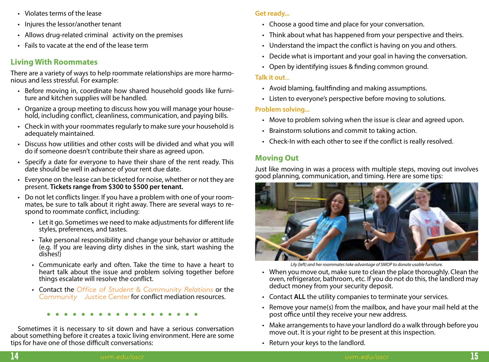- <span id="page-10-0"></span>• Violates terms of the lease
- Injures the lessor/another tenant
- Allows drug-related criminal activity on the premises
- Fails to vacate at the end of the lease term

# **Living With Roommates**

There are a variety of ways to help roommate relationships are more harmonious and less stressful. For example:

- Before moving in, coordinate how shared household goods like furniture and kitchen supplies will be handled.
- Organize a group meeting to discuss how you will manage your household, including conflict, cleanliness, communication, and paying bills.
- Check in with your roommates regularly to make sure your household is adequately maintained.
- Discuss how utilities and other costs will be divided and what you will do if someone doesn't contribute their share as agreed upon.
- Specify a date for everyone to have their share of the rent ready. This date should be well in advance of your rent due date.
- Everyone on the lease can be ticketed for noise, whether or not they are present. **Tickets range from \$300 to \$500 per tenant.**
- Do not let conflicts linger. If you have a problem with one of your room-<br>mates, be sure to talk about it right away. There are several ways to re-<br>spond to roommate conflict, including:
	- Let it go. Sometimes we need to make adjustments for different life styles, preferences, and tastes.
	- Take personal responsibility and change your behavior or attitude (e.g. If you are leaving dirty dishes in the sink, start washing the dishes!)
	- Communicate early and often. Take the time to have a heart to heart talk about the issue and problem solving together before things escalate will resolve the conflict.
	- Contact the *[Office of Student & Community Relations](mailto:oscr%40uvm.edu?subject=Referral%20from%20OCLG%20re%3A%20Conflict%20Resolution)* or the *[Community Justice Center](https://www.burlingtonvt.gov/CJC/)* for conflict mediation resources.

Sometimes it is necessary to sit down and have a serious conversation about something before it creates a toxic living environment. Here are some tips for have one of those difficult conversations:

# **Get ready...**

- Choose a good time and place for your conversation.
- Think about what has happened from your perspective and theirs.
- Understand the impact the conflict is having on you and others.
- Decide what is important and your goal in having the conversation.
- Open by identifying issues & finding common ground.

## **Talk it out**...

- Avoid blaming, faultfinding and making assumptions.
- Listen to everyone's perspective before moving to solutions.

# **Problem solving...**

- Move to problem solving when the issue is clear and agreed upon.
- Brainstorm solutions and commit to taking action.
- Check-In with each other to see if the conflict is really resolved.

# **Moving Out**

Just like moving in was a process with multiple steps, moving out involves good planning, communication, and timing. Here are some tips:

![](_page_10_Picture_34.jpeg)

*Lily (left) and her roommates take advantage of SMOP to donate usable furniture.*

- When you move out, make sure to clean the place thoroughly. Clean the oven, refrigerator, bathroom, etc. If you do not do this, the landlord may deduct money from your security deposit.
- Contact **ALL** the utility companies to terminate your services.
- Remove your name(s) from the mailbox, and have your mail held at the post office until they receive your new address.
- Make arrangements to have your landlord do a walk through before you move out. It is your right to be present at this inspection.
- Return your keys to the landlord.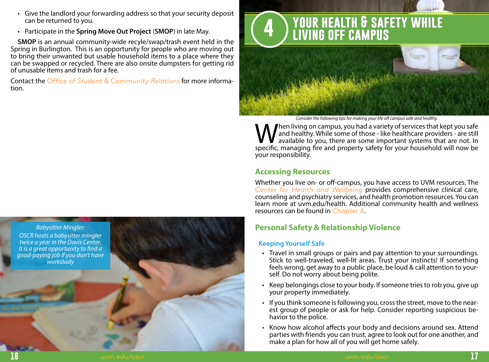- <span id="page-11-0"></span>• Give the landlord your forwarding address so that your security deposit can be returned to you.
- Participate in the **Spring Move Out Project** (**SMOP**) in late May.

**SMOP** is an annual community-wide recyle/swap/trash event held in the Spring in Burlington. This is an opportunity for people who are moving out to bring their unwanted but usable household items to a place where they can be swapped or recycled. There are also onsite dumpsters for getting rid of unusable items and trash for a fee.

Contact the *[Office of Student & Community Relations](mailto:oscr%40uvm.edu?subject=Referral%20from%20OCLG%20re%3A%20moving)* for more information.

![](_page_11_Picture_4.jpeg)

# **4 your health & safety while living off campus**

*Consider the following tips for making your life off campus safe and healthy.*

When living on campus, you had a variety of services that kept you safe<br>and healthy. While some of those - like healthcare providers - are still<br>specific managing fire and property safety for your bousebold will now be and healthy. While some of those - like healthcare providers - are still available to you, there are some important systems that are not. In specific, managing fire and property safety for your household will now be your responsibility.

# **Accessing Resources**

Whether you live on- or off-campus, you have access to UVM resources. The *[Center for Health and Wellbeing](mailto:www.uvm.edu/~chwb/?subject=)* provides comprehensive clinical care, counseling and psychiatry services, and health promotion resources. You can learn more at uvm.edu/health. Additional community health and wellness resources can be found in *[Chapter 6](#page-17-0)*.

# **Personal Safety & Relationship Violence**

#### **Keeping Yourself Safe**

- Travel in small groups or pairs and pay attention to your surroundings. Stick to well-traveled, well-lit areas. Trust your instincts! If something feels wrong, get away to a public place, be loud & call attention to your- self. Do not worry about being polite.
- Keep belongings close to your body. If someone tries to rob you, give up your property immediately.
- If you think someone is following you, cross the street, move to the near- est group of people or ask for help. Consider reporting suspicious behavior to the police.
- Know how alcohol affects your body and decisions around sex. Attend parties with friends you can trust, agree to look out for one another, and make a plan for how all of you will get home safely.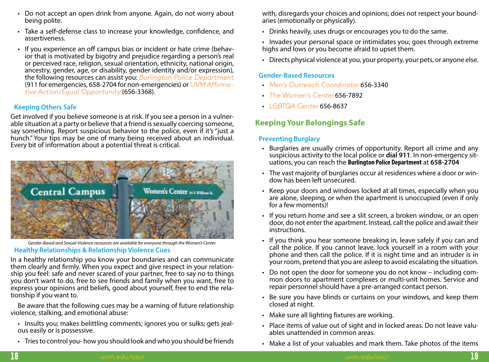- <span id="page-12-0"></span>• Do not accept an open drink from anyone. Again, do not worry about being polite.
- Take a self-defense class to increase your knowledge, confidence, and assertiveness.
- If you experience an off campus bias or incident or hate crime (behavior that is motivated by bigotry and prejudice regarding a person's real or perceived race, religion, sexual orientation, ethnicity, national origin, ancestry, gender, age, or disability, gender identity and/or expression), the following resources can assist you: *[Burlington Police Department](mailto:https://www.burlingtonvt.gov/police?subject=)* (911 for emergencies, 658-2704 for non-emergencies) or *[UVM Affirma](mailto:http://www.uvm.edu/aaeo?subject=)[tive Action/Equal Opportunity](mailto:http://www.uvm.edu/aaeo?subject=)* (656-3368).

# **Keeping Others Safe**

Get involved if you believe someone is at risk. If you see a person in a vulner- able situation at a party or believe that a friend is sexually coercing someone, say something. Report suspicious behavior to the police, even if it's "just a hunch." Your tips may be one of many being received about an individual. Every bit of information about a potential threat is critical.

![](_page_12_Picture_5.jpeg)

*Gender-Based and Sexual-Violence resources are available for everyone through the Women's Center.*

#### **Healthy Relationships & Relationship Violence Cues**

In a healthy relationship you know your boundaries and can communicate them clearly and firmly. When you expect and give respect in your relationship you feel: safe and never scared of your partner, free to say no to things you don't want to do, free to see friends and family when you want, free to express your opinions and beliefs, good about yourself, free to end the relationship if you want to.

Be aware that the following cues may be a warning of future relationship violence, stalking, and emotional abuse:

- Insults you; makes belittling comments; ignores you or sulks; gets jealous easily or is possessive.
- Tries to control you- how you should look and who you should be friends

with, disregards your choices and opinions; does not respect your boundaries (emotionally or physically).

- Drinks heavily, uses drugs or encourages you to do the same.
- Invades your personal space or intimidates you; goes through extreme highs and lows or you become afraid to upset them.
- Directs physical violence at you, your property, your pets, or anyone else.

## **Gender-Based Resources**

- *[Men's Outreach Coordinator](mailto:http://www.uvm.edu/~CHWB/psych/%3FPage%3Dmen.html?subject=)* 656-3340
- *[The Women's Center](http://www.uvm.edu/~women)* 656-7892
- *[LGBTQA Center](http://www.uvm.edu/~lgbtqa)* 656-8637

# **Keeping Your Belongings Safe**

# **Preventing Burglary**

- Burglaries are usually crimes of opportunity. Report all crime and any suspicious activity to the local police or **dial 911**. In non-emergency sit- uations, you can reach the **Burlington Police Department** at **658-2704**
- The vast majority of burglaries occur at residences where a door or window has been left unsecured.
- Keep your doors and windows locked at all times, especially when you are alone, sleeping, or when the apartment is unoccupied (even if only for a few moments)!
- If you return home and see a slit screen, a broken window, or an open door, do not enter the apartment. Instead, call the police and await their instructions.
- If you think you hear someone breaking in, leave safely if you can and call the police. If you cannot leave, lock yourself in a room with your phone and then call the police. If it is night time and an intruder is in your room, pretend that you are asleep to avoid escalating the situation.
- Do not open the door for someone you do not know including com- mon doors to apartment complexes or multi-unit homes. Service and repair personnel should have a pre-arranged contact person.
- Be sure you have blinds or curtains on your windows, and keep them closed at night.
- Make sure all lighting fixtures are working.
- Place items of value out of sight and in locked areas. Do not leave valuables unattended in common areas.
- Make a list of your valuables and mark them. Take photos of the items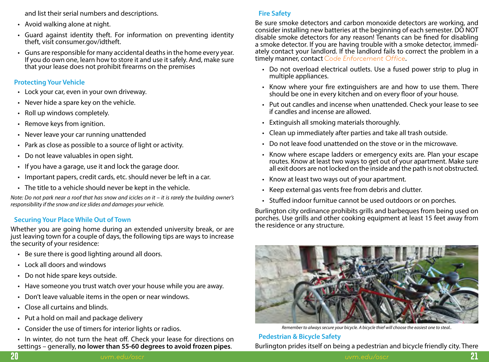<span id="page-13-0"></span>and list their serial numbers and descriptions.

- Avoid walking alone at night.
- Guard against identity theft. For information on preventing identity theft, visit consumer.gov/idtheft.
- Guns are responsible for many accidental deaths in the home every year. If you do own one, learn how to store it and use it safely. And, make sure that your lease does not prohibit firearms on the premises

# **Protecting Your Vehicle**

- Lock your car, even in your own driveway.
- Never hide a spare key on the vehicle.
- Roll up windows completely.
- Remove keys from ignition.
- Never leave your car running unattended
- Park as close as possible to a source of light or activity.
- Do not leave valuables in open sight.
- If you have a garage, use it and lock the garage door.
- Important papers, credit cards, etc. should never be left in a car.
- The title to a vehicle should never be kept in the vehicle.

*Note: Do not park near a roof that has snow and icicles on it – it is rarely the building owner's responsibility if the snow and ice slides and damages your vehicle.*

# **Securing Your Place While Out of Town**

Whether you are going home during an extended university break, or are just leaving town for a couple of days, the following tips are ways to increase the security of your residence:

- Be sure there is good lighting around all doors.
- Lock all doors and windows
- Do not hide spare keys outside.
- Have someone you trust watch over your house while you are away.
- Don't leave valuable items in the open or near windows.
- Close all curtains and blinds.
- Put a hold on mail and package delivery
- Consider the use of timers for interior lights or radios.
- In winter, do not turn the heat off. Check your lease for directions on settings – generally, **no lower than 55-60 degrees to avoid frozen pipes**.

# **Fire Safety**

Be sure smoke detectors and carbon monoxide detectors are working, and consider installing new batteries at the beginning of each semester. DO NOT disable smoke detectors for any reason! Tenants can be fined for disabling a smoke detector. If you are having trouble with a smoke detector, immediately contact your landlord. If the landlord fails to correct the problem in a timely manner, contact *[Code Enforcement Office](https://www.burlingtonvt.gov/CodeEnforcement)*.

- Do not overload electrical outlets. Use a fused power strip to plug in multiple appliances.
- Know where your fire extinguishers are and how to use them. There should be one in every kitchen and on every floor of your house.
- Put out candles and incense when unattended. Check your lease to see if candles and incense are allowed.
- Extinguish all smoking materials thoroughly.
- Clean up immediately after parties and take all trash outside.
- Do not leave food unattended on the stove or in the microwave.
- Know where escape ladders or emergency exits are. Plan your escape routes. Know at least two ways to get out of your apartment. Make sure all exit doors are not locked on the inside and the path is not obstructed.
- Know at least two ways out of your apartment.
- Keep external gas vents free from debris and clutter.
- Stuffed indoor furnitue cannot be used outdoors or on porches.

Burlington city ordinance prohibits grills and barbeques from being used on porches. Use grills and other cooking equipment at least 15 feet away from the residence or any structure.

![](_page_13_Picture_40.jpeg)

*Remember to always secure your bicycle. A bicycle thief will choose the easiest one to steal..*

**Pedestrian & Bicycle Safety** Burlington prides itself on being a pedestrian and bicycle friendly city. There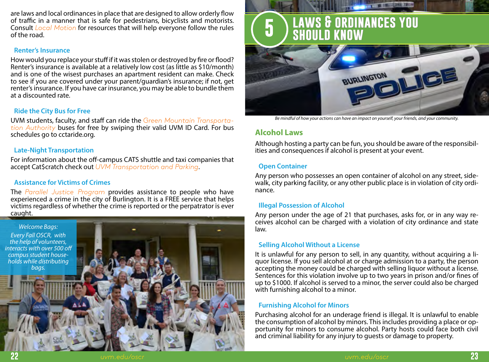<span id="page-14-0"></span>are laws and local ordinances in place that are designed to allow orderly flow of traffic in a manner that is safe for pedestrians, bicyclists and motorists. Consult *[Local Motion](mailto:http://www.localmotion.org/?subject=)* for resources that will help everyone follow the rules of the road.

#### **Renter's Insurance**

How would you replace your stuff if it was stolen or destroyed by fire or flood? Renter's insurance is available at a relatively low cost (as little as \$10/month) and is one of the wisest purchases an apartment resident can make. Check to see if you are covered under your parent/guardian's insurance; if not, get renter's insurance. If you have car insurance, you may be able to bundle them at a discounted rate.

## **Ride the City Bus for Free**

UVM students, faculty, and staff can ride the *[Green Mountain Transporta](http://www.ridegmt.com)[tion Authority](http://www.ridegmt.com)* buses for free by swiping their valid UVM ID Card. For bus schedules go to cctaride.org.

#### **Late-Night Transportation**

For information about the off-campus CATS shuttle and taxi companies that accept Cat\$cratch check out *[UVM Transportation and Parking](mailto:http://www.uvm.edu/tps/?subject=)*.

#### **Assistance for Victims of Crimes**

The *[Parallel Justice Program](mailto:http://www.pjburlington.org/?subject=)* provides assistance to people who have experienced a crime in the city of Burlington. It is a FREE service that helps victims regardless of whether the crime is reported or the perpatrator is ever caught.

![](_page_14_Picture_9.jpeg)

# <span id="page-14-1"></span>**5 laws & ordinances you should know**

![](_page_14_Picture_11.jpeg)

*Be mindful of how your actions can have an impact on yourself, your friends, and your community.*

# **Alcohol Laws**

Although hosting a party can be fun, you should be aware of the responsibilities and consequences if alcohol is present at your event.

#### **Open Container**

Any person who possesses an open container of alcohol on any street, sidewalk, city parking facility, or any other public place is in violation of city ordinance.

#### **Illegal Possession of Alcohol**

Any person under the age of 21 that purchases, asks for, or in any way re- ceives alcohol can be charged with a violation of city ordinance and state law.

#### **Selling Alcohol Without a License**

It is unlawful for any person to sell, in any quantity, without acquiring a li- quor license. If you sell alcohol at or charge admission to a party, the person accepting the money could be charged with selling liquor without a license. Sentences for this violation involve up to two years in prison and/or fines of up to \$1000. If alcohol is served to a minor, the server could also be charged with furnishing alcohol to a minor.

#### **Furnishing Alcohol for Minors**

Purchasing alcohol for an underage friend is illegal. It is unlawful to enable the consumption of alcohol by minors. This includes providing a place or opportunity for minors to consume alcohol. Party hosts could face both civil and criminal liability for any injury to guests or damage to property.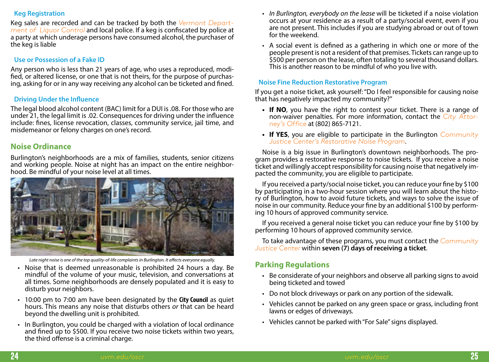#### <span id="page-15-0"></span>**Keg Registration**

Keg sales are recorded and can be tracked by both the *[Vermont Depart](mailto:http://liquorcontrol.vermont.gov/?subject=)[ment of Liquor Control](mailto:http://liquorcontrol.vermont.gov/?subject=)* and local police. If a keg is confiscated by police at a party at which underage persons have consumed alcohol, the purchaser of the keg is liable

## **Use or Possession of a Fake ID**

Any person who is less than 21 years of age, who uses a reproduced, modi-<br>fied, or altered license, or one that is not theirs, for the purpose of purchas-<br>ing, asking for or in any way receiving any alcohol can be ticketed

## **Driving Under the Influence**

The legal blood alcohol content (BAC) limit for a DUI is .08. For those who are under 21, the legal limit is .02. Consequences for driving under the influence include: fines, license revocation, classes, community service, jail time, and misdemeanor or felony charges on one's record.

# **Noise Ordinance**

Burlington's neighborhoods are a mix of families, students, senior citizens and working people. Noise at night has an impact on the entire neighbor- hood. Be mindful of your noise level at all times.

![](_page_15_Picture_8.jpeg)

*Late night noise is one of the top quality-of-life complaints in Burlington. It affects everyone equally.*

- Noise that is deemed unreasonable is prohibited 24 hours a day. Be mindful of the volume of your music, television, and conversations at all times. Some neighborhoods are densely populated and it is easy to disturb your neighbors.
- 10:00 pm to 7:00 am have been designated by the **City Council** as quiet hours. This means any noise that disturbs others *or* that can be heard beyond the dwelling unit is prohibited.
- In Burlington, you could be charged with a violation of local ordinance and fined up to \$500. If you receive two noise tickets within two years, the third offense is a criminal charge.
- *• In Burlington, everybody on the lease* will be ticketed if a noise violation occurs at your residence as a result of a party/social event, even if you are not present. This includes if you are studying abroad or out of town for the weekend.
- A social event is defined as a gathering in which one or more of the people present is not a resident of that premises. Tickets can range up to \$500 per person on the lease, often totaling to several thousand dollars. This is another reason to be mindful of who you live with.

# **Noise Fine Reduction Restorative Program**

If you get a noise ticket, ask yourself: "Do I feel responsible for causing noise that has negatively impacted my community?"

- **• If NO**, you have the right to contest your ticket. There is a range of non-waiver penalties. For more information, contact the *[City Attor](https://www.burlingtonvt.gov/Attorney)[ney's Office](https://www.burlingtonvt.gov/Attorney)* at (802) 865-7121.
- **• If YES**, you are eligible to participate in the Burlington *[Community](mailto:https://www.burlingtonvt.gov/CJC/Burlingtons-Restorative-Noise-Program?subject=) [Justice Center's Restorative Noise Program](mailto:https://www.burlingtonvt.gov/CJC/Burlingtons-Restorative-Noise-Program?subject=)*.

Noise is a big issue in Burlington's downtown neighborhoods. The pro- gram provides a restorative response to noise tickets. If you receive a noise ticket and willingly accept responsibility for causing noise that negatively im- pacted the community, you are eligible to participate.

If you received a party/social noise ticket, you can reduce your fine by \$100 by participating in a two-hour session where you will learn about the histo- ry of Burlington, how to avoid future tickets, and ways to solve the issue of noise in our community. Reduce your fine by an additional \$100 by performing 10 hours of approved community service.

If you received a general noise ticket you can reduce your fine by \$100 by performing 10 hours of approved community service.

To take advantage of these programs, you must contact the *[Community](mailto:https://www.burlingtonvt.gov/CJC/Burlingtons-Restorative-Noise-Program?subject=)  [Justice Center](mailto:https://www.burlingtonvt.gov/CJC/Burlingtons-Restorative-Noise-Program?subject=)* within **seven (7) days of receiving a ticket**.

# **Parking Regulations**

- Be considerate of your neighbors and observe all parking signs to avoid being ticketed and towed
- Do not block driveways or park on any portion of the sidewalk.
- Vehicles cannot be parked on any green space or grass, including front lawns or edges of driveways.
- Vehicles cannot be parked with "For Sale" signs displayed.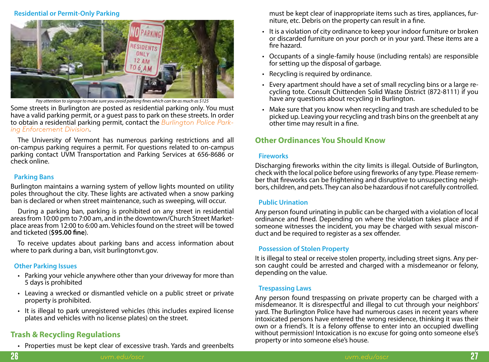#### <span id="page-16-0"></span>**Residential or Permit-Only Parking**

![](_page_16_Picture_1.jpeg)

*Pay attention to signage to make sure you avoid parking fines which can be as much as \$125*

Some streets in Burlington are posted as residential parking only. You must have a valid parking permit, or a guest pass to park on these streets. In order to obtain a residential parking permit, contact the *[Burlington Police Park](mailto:https://www.burlingtonvt.gov/Police/Parking-Enforcement?subject=)[ing Enforcement Division](mailto:https://www.burlingtonvt.gov/Police/Parking-Enforcement?subject=)*.

The University of Vermont has numerous parking restrictions and all on-campus parking requires a permit. For questions related to on-campus parking contact UVM Transportation and Parking Services at 656-8686 or check online.

#### **Parking Bans**

Burlington maintains a warning system of yellow lights mounted on utility poles throughout the city. These lights are activated when a snow parking ban is declared or when street maintenance, such as sweeping, will occur.

During a parking ban, parking is prohibited on any street in residential areas from 10:00 pm to 7:00 am, and in the downtown/Church Street Marketplace areas from 12:00 to 6:00 am. Vehicles found on the street will be towed and ticketed (**\$95.00 fine**).

To receive updates about parking bans and access information about where to park during a ban, visit burlingtonvt.gov.

#### **Other Parking Issues**

- Parking your vehicle anywhere other than your driveway for more than 5 days is prohibited
- Leaving a wrecked or dismantled vehicle on a public street or private property is prohibited.
- It is illegal to park unregistered vehicles (this includes expired license plates and vehicles with no license plates) on the street.

# **Trash & Recycling Regulations**

• Properties must be kept clear of excessive trash. Yards and greenbelts

must be kept clear of inappropriate items such as tires, appliances, furniture, etc. Debris on the property can result in a fine.

- It is a violation of city ordinance to keep your indoor furniture or broken or discarded furniture on your porch or in your yard. These items are a fire hazard.
- Occupants of a single-family house (including rentals) are responsible for setting up the disposal of garbage.
- Recycling is required by ordinance.
- Every apartment should have a set of small recycling bins or a large re- cycling tote. Consult Chittenden Solid Waste District (872-8111) if you have any questions about recycling in Burlington.
- Make sure that you know when recycling and trash are scheduled to be picked up. Leaving your recycling and trash bins on the greenbelt at any other time may result in a fine.

# **Other Ordinances You Should Know**

#### **Fireworks**

Discharging fireworks within the city limits is illegal. Outside of Burlington, check with the local police before using fireworks of any type. Please remember that fireworks can be frightening and disruptive to unsuspecting neighbors, children, and pets. They can also be hazardous if not carefully controlled.

#### **Public Urination**

Any person found urinating in public can be charged with a violation of local ordinance and fined. Depending on where the violation takes place and if someone witnesses the incident, you may be charged with sexual misconduct and be required to register as a sex offender.

# **Possession of Stolen Property**

It is illegal to steal or receive stolen property, including street signs. Any person caught could be arrested and charged with a misdemeanor or felony, depending on the value.

#### **Trespassing Laws**

Any person found trespassing on private property can be charged with a misdemeanor. It is disrespectful and illegal to cut through your neighbors' yard. The Burlington Police have had numerous cases in recent years where intoxicated persons have entered the wrong residence, thinking it was their own or a friend's. It is a felony offense to enter into an occupied dwelling without permission! Intoxication is no excuse for going onto someone else's property or into someone else's house.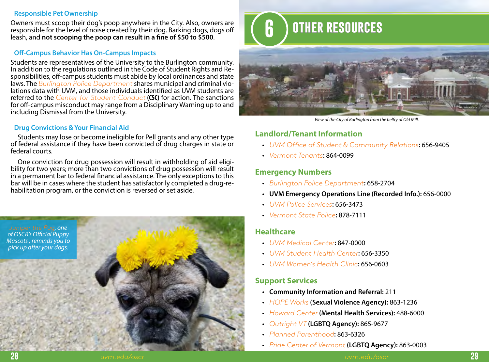#### <span id="page-17-1"></span>**Responsible Pet Ownership**

Owners must scoop their dog's poop anywhere in the City. Also, owners are responsible for the level of noise created by their dog. Barking dogs, dogs off leash, and **not scooping the poop can result in a fine of \$50 to \$500**.

# **Off-Campus Behavior Has On-Campus Impacts**

Students are representatives of the University to the Burlington community.<br>In addition to the regulations outlined in the Code of Student Rights and Responsibilities, off-campus students must abide by local ordinances and state laws. The *[Burlington Police Department](mailto:https://www.burlingtonvt.gov/police?subject=)* shares municipal and criminal vio- lations data with UVM, and those individuals identified as UVM students are referred to the *[Center for Student Conduct](mailto:http://www.uvm.edu/sconduct/?subject=)* **(CSC)** for action. The sanctions for off-campus misconduct may range from a Disciplinary Warning up to and including Dismissal from the University.

# **Drug Convictions & Your Financial Aid**

Students may lose or become ineligible for Pell grants and any other type of federal assistance if they have been convicted of drug charges in state or federal courts.

One conviction for drug possession will result in withholding of aid eligi- bility for two years; more than two convictions of drug possession will result in a permanent bar to federal financial assistance. The only exceptions to this bar will be in cases where the student has satisfactorily completed a drug-re- habilitation program, or the conviction is reversed or set aside.

![](_page_17_Picture_7.jpeg)

# <span id="page-17-0"></span>**6 other resources**

![](_page_17_Picture_9.jpeg)

*View of the City of Burlington from the belfry of Old Mill.*

# **Landlord/Tenant Information**

- *[UVM Office of Student & Community Relations](https://www.uvm.edu/oscr)***:** 656-9405
- *[Vermont Tenants](http://www.cvoeo.org/htm/Housing/tenants/tenantsHome.html)***:** 864-0099

# **Emergency Numbers**

- *[Burlington Police Department](https://www.burlingtonvt.gov/police)***:** 658-2704
- **• UVM Emergency Operations Line (Recorded Info.):** 656-0000
- *[UVM Police Services](http://www.uvm.edu/police/)***:** 656-3473
- *[Vermont State Police](http://vsp.vermont.gov/)***:** 878-7111

# **Healthcare**

- *[UVM Medical Center](https://www.uvmhealth.org/medcenter/Pages/default.aspx)***:** 847-0000
- *[UVM Student Health Center](http://www.uvm.edu/~chwb/health/)***:** 656-3350
- *[UVM Women's Health Clinic](http://www.uvm.edu/~chwb/health/?Page=women.html&SM=primarycare.html)***:** 656-0603

# **Support Services**

- **• Community Information and Referral:** 211
- *[HOPE Works](https://hopeworksvt.org/)* **(Sexual Violence Agency):** 863-1236
- *[Howard Center](http://howardcenter.org/home)* **(Mental Health Services):** 488-6000
- *[Outright VT](http://www.outrightvt.org/)* **(LGBTQ Agency):** 865-9677
- *[Planned Parenthood](https://www.plannedparenthood.org/health-center/vermont/burlington/05401/burlington-health-center-2650-91770)***:** 863-6326
- *[Pride Center of Vermont](http://pridecentervt.org/)* **(LGBTQ Agency):** 863-0003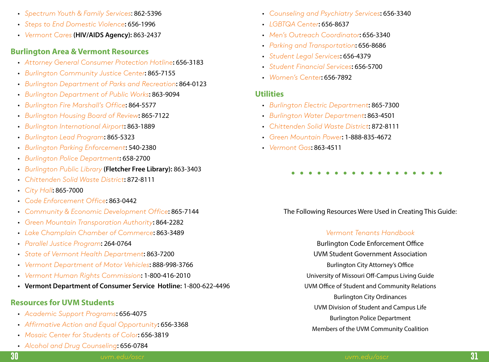- <span id="page-18-0"></span>• *[Spectrum Youth & Family Services](http://www.spectrumvt.org/)*: 862-5396
- *[Steps to End Domestic Violence](https://www.stepsvt.org/)***:** 656-1996
- *[Vermont Cares](http://vtcares.org/)* **(HIV/AIDS Agency):** 863-2437

# **Burlington Area & Vermont Resources**

- *[Attorney General Consumer Protection Hotline](http://www.uvm.edu/consumer)***:** 656-3183
- *[Burlington Community Justice Center](https://www.burlingtonvt.gov/CJC/)***:** 865-7155
- *[Burlington Department of Parks and Recreation](https://enjoyburlington.com/)***:** 864-0123
- *[Burlington Department of Public Works](https://www.burlingtonvt.gov/DPW)***:** 863-9094
- *[Burlington Fire Marshall's Office](https://www.burlingtonvt.gov/Fire/Office-of-the-Fire-Marshal)***:** 864-5577
- *[Burlington Housing Board of Review](https://www.burlingtonvt.gov/Attorney/Housing-Board-of-Review/)***:** 865-7122
- *[Burlington International Airport](http://www.btv.aero/)***:** 863-1889
- *[Burlington Lead Program](http://www.burlingtonleadprogram.org/)***:** 865-5323
- *[Burlington Parking Enforcement](mailto:https://www.burlingtonvt.gov/Police/Parking-Enforcement?subject=)***:** 540-2380
- *[Burlington Police Department](mailto:https://www.burlingtonvt.gov/police?subject=)***:** 658-2700
- *[Burlington Public Library](http://www.fletcherfree.org/FFLHomePage.htm)* **(Fletcher Free Library):** 863-3403
- *[Chittenden Solid Waste District](http://www.cswd.net)***:** 872-8111
- *[City Hall](https://www.burlingtonvt.gov/)***:** 865-7000
- *[Code Enforcement Office](https://www.burlingtonvt.gov/CodeEnforcement)***:** 863-0442
- *[Community & Economic Development Office](https://www.burlingtonvt.gov/CEDO/)***:** 865-7144
- *[Green Mountain Transporation Authority](http://www.ridegmt.com)***:** 864-2282
- *[Lake Champlain Chamber of Commerce](http://www.vermont.org/chamber)***:** 863-3489
- *[Parallel Justice Program](http://www.pjburlington.org/)***:** 264-0764
- *[State of Vermont Health Department](http://www.healthvermont.gov/)***:** 863-7200
- *[Vermont Department of Motor Vehicles](http://dmv.vermont.gov/)***:** 888-998-3766
- *[Vermont Human Rights Commission](http://hrc.vermont.gov/)***:** 1-800-416-2010
- **• Vermont Department of Consumer Service Hotline:** 1-800-622-4496

# **Resources for UVM Students**

- *[Academic Support Programs](http://www.uvm.edu/academicsuccess)***:** 656-4075
- *[Affirmative Action and Equal Opportunity](mailto:http://www.uvm.edu/aaeo?subject=)***:** 656-3368
- *[Mosaic Center for Students of Color](http://www.uvm.edu/mcsc/)***:** 656-3819
- *[Alcohol and Drug Counseling](https://www.uvm.edu/deanofstudents/substance_abuse)***:** 656-0784
- *[Counseling and Psychiatry Services](http://www.uvm.edu/~chwb/psych/)***:** 656-3340
- *[LGBTQA Center](mailto:http://www.uvm.edu/~lgbtqa/?subject=)***:** 656-8637
- *[Men's Outreach Coordinator](mailto:http://www.uvm.edu/~CHWB/psych/%3FPage%3Dmen.html?subject=)***:** 656-3340
- *[Parking and Transportation](mailto:http://www.uvm.edu/tps/?subject=)***:** 656-8686
- *[Student Legal Services](https://thelynx.collegiatelink.net/organization/student-legal-services/about)***:** 656-4379
- *[Student Financial Services](http://www.uvm.edu/sfs)***:** 656-5700
- *[Women's Center](mailto:http://www.uvm.edu/~women/?subject=)***:** 656-7892

# **Utilities**

- *[Burlington Electric Department](https://www.burlingtonelectric.com/)***:** 865-7300
- *[Burlington Water Department](https://www.burlingtonvt.gov/DPW/Water)***:** 863-4501
- *[Chittenden Solid Waste District](http://www.cswd.net)***:** 872-8111
- *[Green Mountain Power](http://www.greenmountainpower.com/)***:** 1-888-835-4672
- *[Vermont Gas](http://www.vermontgas.com/)***:** 863-4511

# 

# The Following Resources Were Used in Creating This Guide:

# *[Vermont Tenants Handbook](https://www.cvoeo.org/fileLibrary/file_212.pdf)*

Burlington Code Enforcement Office UVM Student Government Association Burlington City Attorney's Office University of Missouri Off-Campus Living Guide UVM Office of Student and Community Relations Burlington City Ordinances UVM Division of Student and Campus Life Burlington Police Department Members of the UVM Community Coalition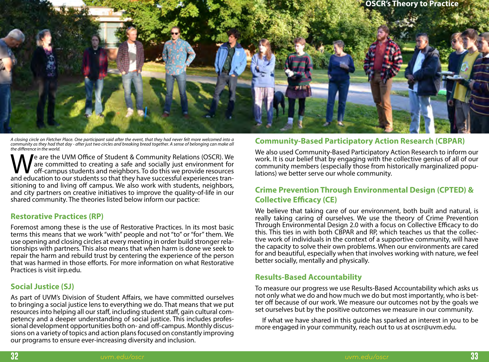<span id="page-19-0"></span>![](_page_19_Picture_0.jpeg)

*A closing circle on Fletcher Place. One participant said after the event, that they had never felt more welcomed into a community as they had that day - after just two circles and breaking bread together. A sense of belonging can make all the difference in the world.*

We are the UVM Office of Student & Community Relations (OSCR). We are committed to creating a safe and socially just environment for off-campus students and neighbors. To do this we provide resources and education to our s are committed to creating a safe and socially just environment for off-campus students and neighbors. To do this we provide resources and education to our students so that they have successful experiences transitioning to and living off campus. We also work with students, neighbors, and city partners on creative initiatives to improve the quality-of-life in our shared community. The theories listed below inform our pactice:

#### **Restorative Practices (RP)**

Foremost among these is the use of Restorative Practices. In its most basic terms this means that we work "with" people and not "to" or "for" them. We use opening and closing circles at every meeting in order build stronger relationships with partners. This also means that when harm is done we seek to repair the harm and rebuild trust by centering the experience of the person that was harmed in those efforts. For more information on what Restorative Practices is visit iirp.edu.

# **Social Justice (SJ)**

As part of UVM's Division of Student Affairs, we have committed ourselves to bringing a social justice lens to everything we do. That means that we put resources into helping all our staff, including student staff, gain cultural competency and a deeper understanding of social justice. This includes professional development opportunities both on- and off-campus. Monthly discussions on a variety of topics and action plans focused on constantly improving our programs to ensure ever-increasing diversity and inclusion.

# **Community-Based Participatory Action Research (CBPAR)**

We also used Community-Based Participatory Action Research to inform our work. It is our belief that by engaging with the collective genius of all of our community members (especially those from historically marginalized popu- lations) we better serve our whole community.

# **Crime Prevention Through Environmental Design (CPTED) & Collective Efficacy (CE)**

We believe that taking care of our environment, both built and natural, is really taking caring of ourselves. We use the theory of Crime Prevention Through Environmental Design 2.0 with a focus on Collective Efficacy to do this. This ties in with both CBPAR and RP, which teaches us that the collective work of individuals in the context of a supportive community, will have the capacity to solve their own problems. When our environments are cared for and beautiful, especially when that involves working with nature, we feel better socially, mentally and physically.

# **Results-Based Accountability**

To measure our progress we use Results-Based Accountability which asks us not only what we do and how much we do but most importantly, who is better off because of our work. We measure our outcomes not by the goals we set ourselves but by the positive outcomes we measure in our community.

If what we have shared in this guide has sparked an interest in you to be more engaged in your community, reach out to us at oscr@uvm.edu.